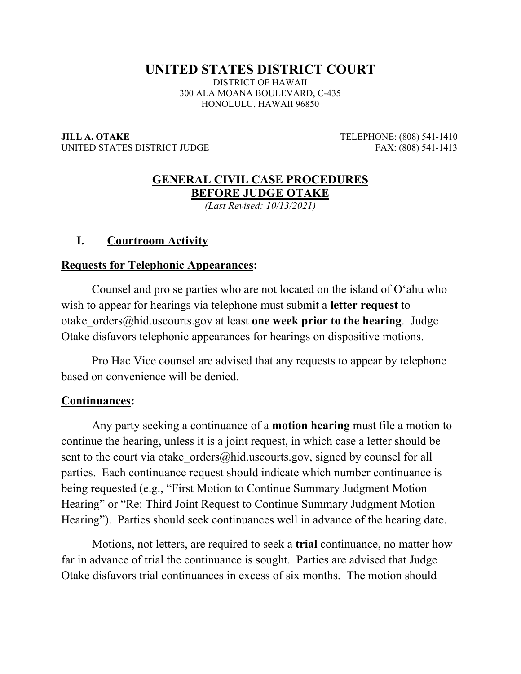# **UNITED STATES DISTRICT COURT**

DISTRICT OF HAWAII 300 ALA MOANA BOULEVARD, C-435 HONOLULU, HAWAII 96850

**JILL A. OTAKE** TELEPHONE: (808) 541-1410 UNITED STATES DISTRICT JUDGE FAX: (808) 541-1413

## **GENERAL CIVIL CASE PROCEDURES BEFORE JUDGE OTAKE**

*(Last Revised: 10/13/2021)* 

### **I. Courtroom Activity**

#### **Requests for Telephonic Appearances:**

Counsel and pro se parties who are not located on the island of O'ahu who wish to appear for hearings via telephone must submit a **letter request** to otake\_orders@hid.uscourts.gov at least **one week prior to the hearing**. Judge Otake disfavors telephonic appearances for hearings on dispositive motions.

Pro Hac Vice counsel are advised that any requests to appear by telephone based on convenience will be denied.

#### **Continuances:**

Any party seeking a continuance of a **motion hearing** must file a motion to continue the hearing, unless it is a joint request, in which case a letter should be sent to the court via otake orders@hid.uscourts.gov, signed by counsel for all parties. Each continuance request should indicate which number continuance is being requested (e.g., "First Motion to Continue Summary Judgment Motion Hearing" or "Re: Third Joint Request to Continue Summary Judgment Motion Hearing"). Parties should seek continuances well in advance of the hearing date.

Motions, not letters, are required to seek a **trial** continuance, no matter how far in advance of trial the continuance is sought. Parties are advised that Judge Otake disfavors trial continuances in excess of six months. The motion should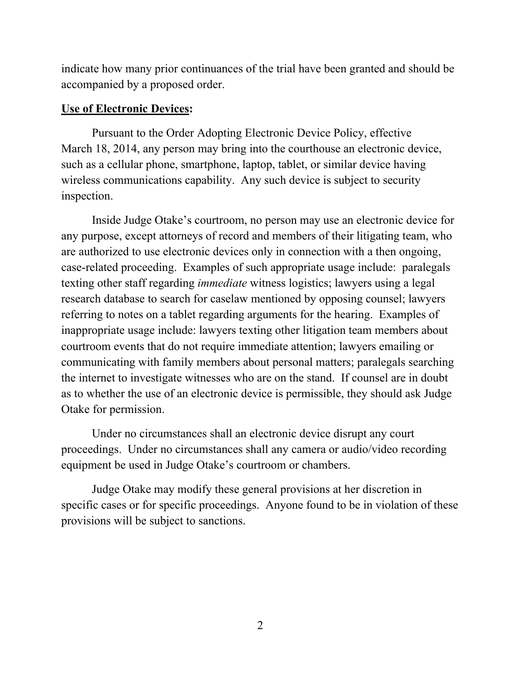indicate how many prior continuances of the trial have been granted and should be accompanied by a proposed order.

### **Use of Electronic Devices:**

 Pursuant to the Order Adopting Electronic Device Policy, effective March 18, 2014, any person may bring into the courthouse an electronic device, such as a cellular phone, smartphone, laptop, tablet, or similar device having wireless communications capability. Any such device is subject to security inspection.

 Inside Judge Otake's courtroom, no person may use an electronic device for any purpose, except attorneys of record and members of their litigating team, who are authorized to use electronic devices only in connection with a then ongoing, case-related proceeding. Examples of such appropriate usage include: paralegals texting other staff regarding *immediate* witness logistics; lawyers using a legal research database to search for caselaw mentioned by opposing counsel; lawyers referring to notes on a tablet regarding arguments for the hearing. Examples of inappropriate usage include: lawyers texting other litigation team members about courtroom events that do not require immediate attention; lawyers emailing or communicating with family members about personal matters; paralegals searching the internet to investigate witnesses who are on the stand. If counsel are in doubt as to whether the use of an electronic device is permissible, they should ask Judge Otake for permission.

 Under no circumstances shall an electronic device disrupt any court proceedings. Under no circumstances shall any camera or audio/video recording equipment be used in Judge Otake's courtroom or chambers.

 Judge Otake may modify these general provisions at her discretion in specific cases or for specific proceedings. Anyone found to be in violation of these provisions will be subject to sanctions.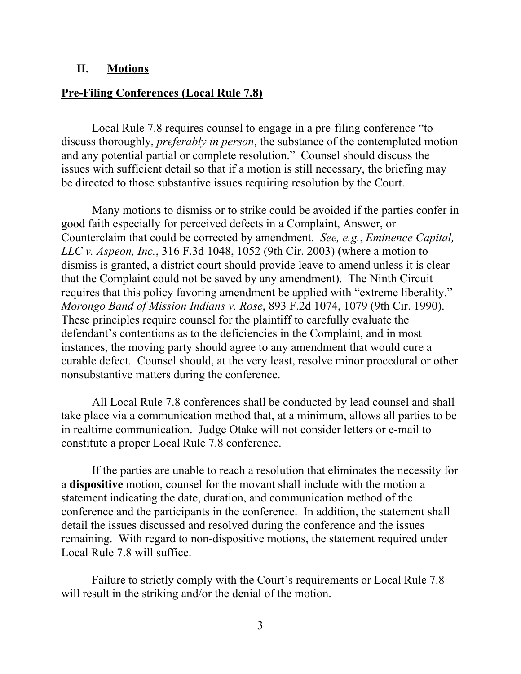#### **II. Motions**

#### **Pre-Filing Conferences (Local Rule 7.8)**

Local Rule 7.8 requires counsel to engage in a pre-filing conference "to discuss thoroughly, *preferably in person*, the substance of the contemplated motion and any potential partial or complete resolution." Counsel should discuss the issues with sufficient detail so that if a motion is still necessary, the briefing may be directed to those substantive issues requiring resolution by the Court.

Many motions to dismiss or to strike could be avoided if the parties confer in good faith especially for perceived defects in a Complaint, Answer, or Counterclaim that could be corrected by amendment. *See, e.g.*, *Eminence Capital, LLC v. Aspeon, Inc.*, 316 F.3d 1048, 1052 (9th Cir. 2003) (where a motion to dismiss is granted, a district court should provide leave to amend unless it is clear that the Complaint could not be saved by any amendment). The Ninth Circuit requires that this policy favoring amendment be applied with "extreme liberality." *Morongo Band of Mission Indians v. Rose*, 893 F.2d 1074, 1079 (9th Cir. 1990). These principles require counsel for the plaintiff to carefully evaluate the defendant's contentions as to the deficiencies in the Complaint, and in most instances, the moving party should agree to any amendment that would cure a curable defect. Counsel should, at the very least, resolve minor procedural or other nonsubstantive matters during the conference.

All Local Rule 7.8 conferences shall be conducted by lead counsel and shall take place via a communication method that, at a minimum, allows all parties to be in realtime communication. Judge Otake will not consider letters or e-mail to constitute a proper Local Rule 7.8 conference.

If the parties are unable to reach a resolution that eliminates the necessity for a **dispositive** motion, counsel for the movant shall include with the motion a statement indicating the date, duration, and communication method of the conference and the participants in the conference. In addition, the statement shall detail the issues discussed and resolved during the conference and the issues remaining. With regard to non-dispositive motions, the statement required under Local Rule 7.8 will suffice.

Failure to strictly comply with the Court's requirements or Local Rule 7.8 will result in the striking and/or the denial of the motion.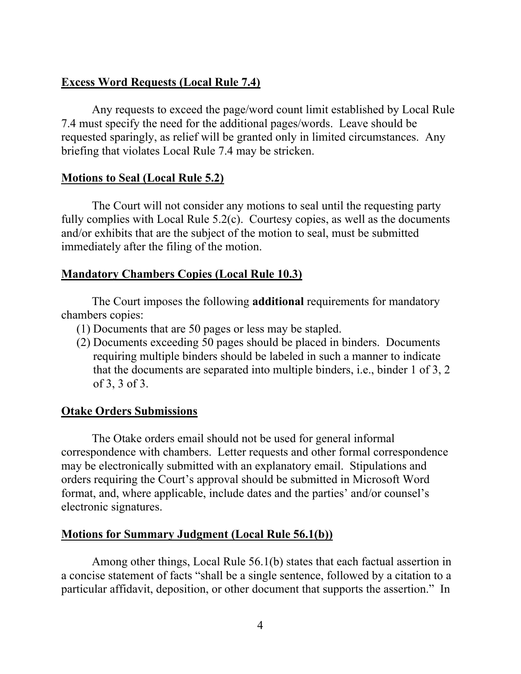# **Excess Word Requests (Local Rule 7.4)**

Any requests to exceed the page/word count limit established by Local Rule 7.4 must specify the need for the additional pages/words. Leave should be requested sparingly, as relief will be granted only in limited circumstances. Any briefing that violates Local Rule 7.4 may be stricken.

# **Motions to Seal (Local Rule 5.2)**

The Court will not consider any motions to seal until the requesting party fully complies with Local Rule 5.2(c). Courtesy copies, as well as the documents and/or exhibits that are the subject of the motion to seal, must be submitted immediately after the filing of the motion.

# **Mandatory Chambers Copies (Local Rule 10.3)**

The Court imposes the following **additional** requirements for mandatory chambers copies:

- (1) Documents that are 50 pages or less may be stapled.
- (2) Documents exceeding 50 pages should be placed in binders. Documents requiring multiple binders should be labeled in such a manner to indicate that the documents are separated into multiple binders, i.e., binder 1 of 3, 2 of 3, 3 of 3.

# **Otake Orders Submissions**

The Otake orders email should not be used for general informal correspondence with chambers. Letter requests and other formal correspondence may be electronically submitted with an explanatory email. Stipulations and orders requiring the Court's approval should be submitted in Microsoft Word format, and, where applicable, include dates and the parties' and/or counsel's electronic signatures.

# **Motions for Summary Judgment (Local Rule 56.1(b))**

Among other things, Local Rule 56.1(b) states that each factual assertion in a concise statement of facts "shall be a single sentence, followed by a citation to a particular affidavit, deposition, or other document that supports the assertion." In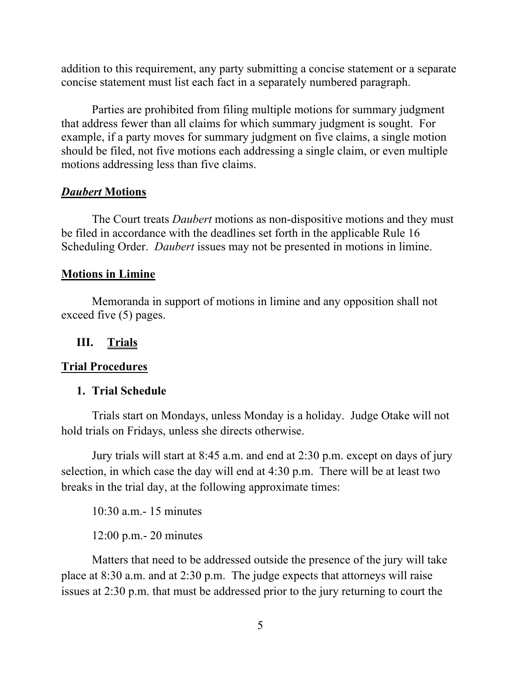addition to this requirement, any party submitting a concise statement or a separate concise statement must list each fact in a separately numbered paragraph.

Parties are prohibited from filing multiple motions for summary judgment that address fewer than all claims for which summary judgment is sought. For example, if a party moves for summary judgment on five claims, a single motion should be filed, not five motions each addressing a single claim, or even multiple motions addressing less than five claims.

## *Daubert* **Motions**

The Court treats *Daubert* motions as non-dispositive motions and they must be filed in accordance with the deadlines set forth in the applicable Rule 16 Scheduling Order. *Daubert* issues may not be presented in motions in limine.

#### **Motions in Limine**

Memoranda in support of motions in limine and any opposition shall not exceed five (5) pages.

### **III. Trials**

#### **Trial Procedures**

#### **1. Trial Schedule**

Trials start on Mondays, unless Monday is a holiday. Judge Otake will not hold trials on Fridays, unless she directs otherwise.

Jury trials will start at 8:45 a.m. and end at 2:30 p.m. except on days of jury selection, in which case the day will end at 4:30 p.m. There will be at least two breaks in the trial day, at the following approximate times:

10:30 a.m.- 15 minutes

12:00 p.m.- 20 minutes

Matters that need to be addressed outside the presence of the jury will take place at 8:30 a.m. and at 2:30 p.m. The judge expects that attorneys will raise issues at 2:30 p.m. that must be addressed prior to the jury returning to court the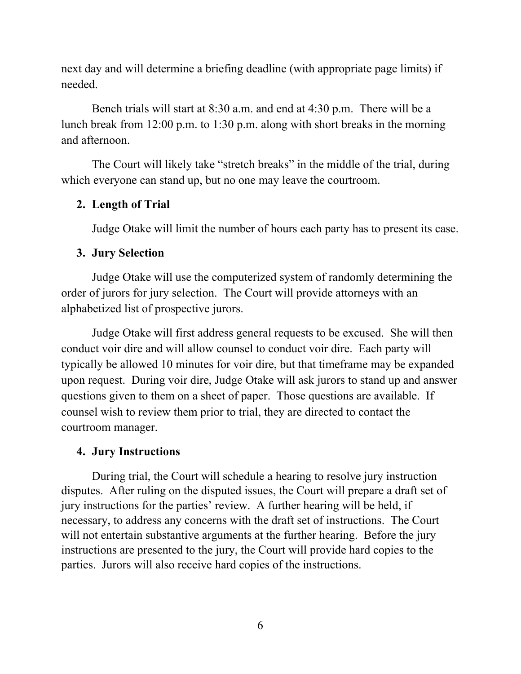next day and will determine a briefing deadline (with appropriate page limits) if needed.

Bench trials will start at 8:30 a.m. and end at 4:30 p.m. There will be a lunch break from 12:00 p.m. to 1:30 p.m. along with short breaks in the morning and afternoon.

The Court will likely take "stretch breaks" in the middle of the trial, during which everyone can stand up, but no one may leave the courtroom.

## **2. Length of Trial**

Judge Otake will limit the number of hours each party has to present its case.

## **3. Jury Selection**

 Judge Otake will use the computerized system of randomly determining the order of jurors for jury selection. The Court will provide attorneys with an alphabetized list of prospective jurors.

 Judge Otake will first address general requests to be excused. She will then conduct voir dire and will allow counsel to conduct voir dire. Each party will typically be allowed 10 minutes for voir dire, but that timeframe may be expanded upon request. During voir dire, Judge Otake will ask jurors to stand up and answer questions given to them on a sheet of paper. Those questions are available. If counsel wish to review them prior to trial, they are directed to contact the courtroom manager.

## **4. Jury Instructions**

During trial, the Court will schedule a hearing to resolve jury instruction disputes. After ruling on the disputed issues, the Court will prepare a draft set of jury instructions for the parties' review. A further hearing will be held, if necessary, to address any concerns with the draft set of instructions. The Court will not entertain substantive arguments at the further hearing. Before the jury instructions are presented to the jury, the Court will provide hard copies to the parties. Jurors will also receive hard copies of the instructions.